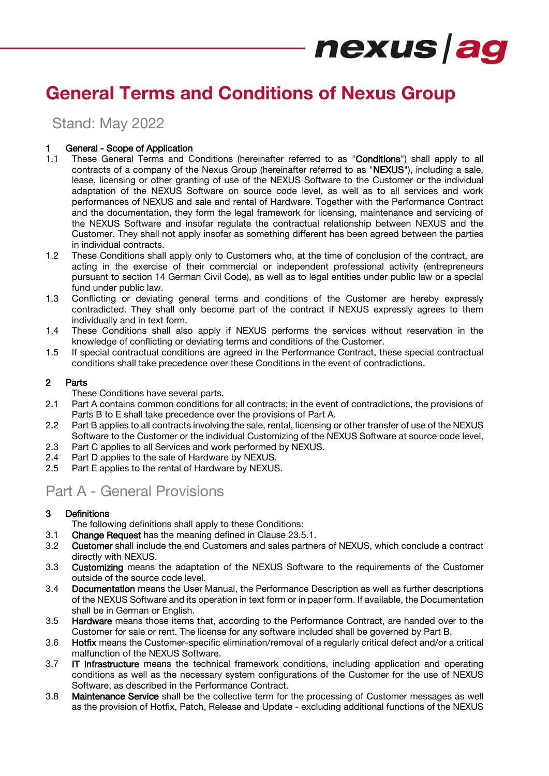## **General Terms and Conditions of Nexus Group**

Stand: May 2022

#### 1 General - Scope of Application

- 1.1 These General Terms and Conditions (hereinafter referred to as "Conditions") shall apply to all contracts of a company of the Nexus Group (hereinafter referred to as "NEXUS"), including a sale, lease, licensing or other granting of use of the NEXUS Software to the Customer or the individual adaptation of the NEXUS Software on source code level, as well as to all services and work performances of NEXUS and sale and rental of Hardware. Together with the Performance Contract and the documentation, they form the legal framework for licensing, maintenance and servicing of the NEXUS Software and insofar regulate the contractual relationship between NEXUS and the Customer. They shall not apply insofar as something different has been agreed between the parties in individual contracts.
- 1.2 These Conditions shall apply only to Customers who, at the time of conclusion of the contract, are acting in the exercise of their commercial or independent professional activity (entrepreneurs pursuant to section 14 German Civil Code), as well as to legal entities under public law or a special fund under public law.
- 1.3 Conflicting or deviating general terms and conditions of the Customer are hereby expressly contradicted. They shall only become part of the contract if NEXUS expressly agrees to them individually and in text form.
- 1.4 These Conditions shall also apply if NEXUS performs the services without reservation in the knowledge of conflicting or deviating terms and conditions of the Customer.
- 1.5 If special contractual conditions are agreed in the Performance Contract, these special contractual conditions shall take precedence over these Conditions in the event of contradictions.

#### 2 Parts

These Conditions have several parts.

- 2.1 Part A contains common conditions for all contracts; in the event of contradictions, the provisions of Parts B to E shall take precedence over the provisions of Part A.
- 2.2 Part B applies to all contracts involving the sale, rental, licensing or other transfer of use of the NEXUS Software to the Customer or the individual Customizing of the NEXUS Software at source code level,
- 2.3 Part C applies to all Services and work performed by NEXUS.
- 2.4 Part D applies to the sale of Hardware by NEXUS.
- 2.5 Part E applies to the rental of Hardware by NEXUS.

## Part A - General Provisions

#### 3 Definitions

The following definitions shall apply to these Conditions:

- 3.1 Change Request has the meaning defined in Clause [23.5.1.](#page-7-0)
- 3.2 Customer shall include the end Customers and sales partners of NEXUS, which conclude a contract directly with NEXUS.
- 3.3 Customizing means the adaptation of the NEXUS Software to the requirements of the Customer outside of the source code level.
- 3.4 Documentation means the User Manual, the Performance Description as well as further descriptions of the NEXUS Software and its operation in text form or in paper form. If available, the Documentation shall be in German or English.
- 3.5 **Hardware** means those items that, according to the Performance Contract, are handed over to the Customer for sale or rent. The license for any software included shall be governed by Part B.
- 3.6 Hotfix means the Customer-specific elimination/removal of a regularly critical defect and/or a critical malfunction of the NEXUS Software.
- 3.7 IT Infrastructure means the technical framework conditions, including application and operating conditions as well as the necessary system configurations of the Customer for the use of NEXUS Software, as described in the Performance Contract.
- 3.8 Maintenance Service shall be the collective term for the processing of Customer messages as well as the provision of Hotfix, Patch, Release and Update - excluding additional functions of the NEXUS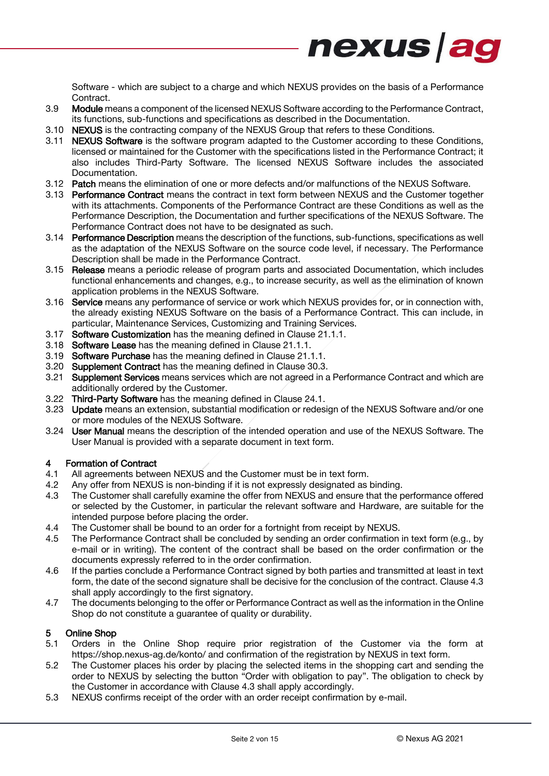

Software - which are subject to a charge and which NEXUS provides on the basis of a Performance Contract.

- 3.9 Module means a component of the licensed NEXUS Software according to the Performance Contract, its functions, sub-functions and specifications as described in the Documentation.
- 3.10 NEXUS is the contracting company of the NEXUS Group that refers to these Conditions.
- 3.11 NEXUS Software is the software program adapted to the Customer according to these Conditions, licensed or maintained for the Customer with the specifications listed in the Performance Contract; it also includes Third-Party Software. The licensed NEXUS Software includes the associated Documentation.
- 3.12 **Patch** means the elimination of one or more defects and/or malfunctions of the NEXUS Software.
- 3.13 Performance Contract means the contract in text form between NEXUS and the Customer together with its attachments. Components of the Performance Contract are these Conditions as well as the Performance Description, the Documentation and further specifications of the NEXUS Software. The Performance Contract does not have to be designated as such.
- <span id="page-1-2"></span>3.14 Performance Description means the description of the functions, sub-functions, specifications as well as the adaptation of the NEXUS Software on the source code level, if necessary. The Performance Description shall be made in the Performance Contract.
- 3.15 Release means a periodic release of program parts and associated Documentation, which includes functional enhancements and changes, e.g., to increase security, as well as the elimination of known application problems in the NEXUS Software.
- 3.16 Service means any performance of service or work which NEXUS provides for, or in connection with, the already existing NEXUS Software on the basis of a Performance Contract. This can include, in particular, Maintenance Services, Customizing and Training Services.
- 3.17 Software Customization has the meaning defined in Clause [21.1.1.](#page-6-0)
- 3.18 Software Lease has the meaning defined in Clause [21.1.1.](#page-6-0)
- 3.19 Software Purchase has the meaning defined in Clause [21.1.1.](#page-6-0)
- 3.20 Supplement Contract has the meaning defined in Clause [30.3.](#page-10-0)
- 3.21 Supplement Services means services which are not agreed in a Performance Contract and which are additionally ordered by the Customer.
- 3.22 Third-Party Software has the meaning defined in Clause [24.1.](#page-8-0)
- 3.23 Update means an extension, substantial modification or redesign of the NEXUS Software and/or one or more modules of the NEXUS Software.
- 3.24 User Manual means the description of the intended operation and use of the NEXUS Software. The User Manual is provided with a separate document in text form.

#### <span id="page-1-1"></span>4 Formation of Contract

- 4.1 All agreements between NEXUS and the Customer must be in text form.
- 4.2 Any offer from NEXUS is non-binding if it is not expressly designated as binding.
- <span id="page-1-0"></span>4.3 The Customer shall carefully examine the offer from NEXUS and ensure that the performance offered or selected by the Customer, in particular the relevant software and Hardware, are suitable for the intended purpose before placing the order.
- 4.4 The Customer shall be bound to an order for a fortnight from receipt by NEXUS.
- 4.5 The Performance Contract shall be concluded by sending an order confirmation in text form (e.g., by e-mail or in writing). The content of the contract shall be based on the order confirmation or the documents expressly referred to in the order confirmation.
- 4.6 If the parties conclude a Performance Contract signed by both parties and transmitted at least in text form, the date of the second signature shall be decisive for the conclusion of the contract. Clause 4.3 shall apply accordingly to the first signatory.
- 4.7 The documents belonging to the offer or Performance Contract as well as the information in the Online Shop do not constitute a guarantee of quality or durability.

#### 5 Online Shop

- 5.1 Orders in the Online Shop require prior registration of the Customer via the form at https://shop.nexus-ag.de/konto/ and confirmation of the registration by NEXUS in text form.
- 5.2 The Customer places his order by placing the selected items in the shopping cart and sending the order to NEXUS by selecting the button "Order with obligation to pay". The obligation to check by the Customer in accordance with Clause [4.3](#page-1-0) shall apply accordingly.
- 5.3 NEXUS confirms receipt of the order with an order receipt confirmation by e-mail.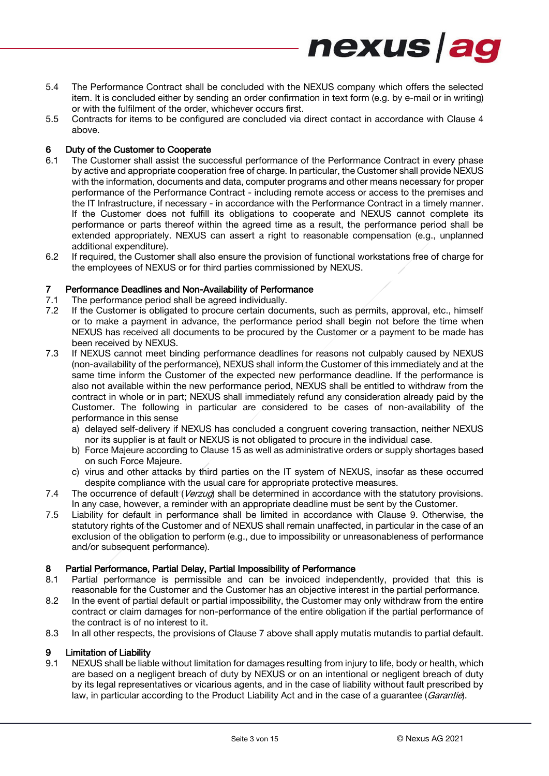5.4 The Performance Contract shall be concluded with the NEXUS company which offers the selected item. It is concluded either by sending an order confirmation in text form (e.g. by e-mail or in writing) or with the fulfilment of the order, whichever occurs first.

nexus ag

5.5 Contracts for items to be configured are concluded via direct contact in accordance with Clause [4](#page-1-1) above.

#### <span id="page-2-2"></span>6 Duty of the Customer to Cooperate

- 6.1 The Customer shall assist the successful performance of the Performance Contract in every phase by active and appropriate cooperation free of charge. In particular, the Customer shall provide NEXUS with the information, documents and data, computer programs and other means necessary for proper performance of the Performance Contract - including remote access or access to the premises and the IT Infrastructure, if necessary - in accordance with the Performance Contract in a timely manner. If the Customer does not fulfill its obligations to cooperate and NEXUS cannot complete its performance or parts thereof within the agreed time as a result, the performance period shall be extended appropriately. NEXUS can assert a right to reasonable compensation (e.g., unplanned additional expenditure).
- 6.2 If required, the Customer shall also ensure the provision of functional workstations free of charge for the employees of NEXUS or for third parties commissioned by NEXUS.

## <span id="page-2-1"></span>7 Performance Deadlines and Non-Availability of Performance<br>7.1 The performance period shall be agreed individually.

- The performance period shall be agreed individually.
- 7.2 If the Customer is obligated to procure certain documents, such as permits, approval, etc., himself or to make a payment in advance, the performance period shall begin not before the time when NEXUS has received all documents to be procured by the Customer or a payment to be made has been received by NEXUS.
- 7.3 If NEXUS cannot meet binding performance deadlines for reasons not culpably caused by NEXUS (non-availability of the performance), NEXUS shall inform the Customer of this immediately and at the same time inform the Customer of the expected new performance deadline. If the performance is also not available within the new performance period, NEXUS shall be entitled to withdraw from the contract in whole or in part; NEXUS shall immediately refund any consideration already paid by the Customer. The following in particular are considered to be cases of non-availability of the performance in this sense
	- a) delayed self-delivery if NEXUS has concluded a congruent covering transaction, neither NEXUS nor its supplier is at fault or NEXUS is not obligated to procure in the individual case.
	- b) Force Majeure according to Claus[e 15](#page-4-0) as well as administrative orders or supply shortages based on such Force Majeure.
	- c) virus and other attacks by third parties on the IT system of NEXUS, insofar as these occurred despite compliance with the usual care for appropriate protective measures.
- 7.4 The occurrence of default (Verzug) shall be determined in accordance with the statutory provisions. In any case, however, a reminder with an appropriate deadline must be sent by the Customer.
- 7.5 Liability for default in performance shall be limited in accordance with Clause [9.](#page-2-0) Otherwise, the statutory rights of the Customer and of NEXUS shall remain unaffected, in particular in the case of an exclusion of the obligation to perform (e.g., due to impossibility or unreasonableness of performance and/or subsequent performance).

#### 8 Partial Performance, Partial Delay, Partial Impossibility of Performance

- 8.1 Partial performance is permissible and can be invoiced independently, provided that this is reasonable for the Customer and the Customer has an objective interest in the partial performance.
- 8.2 In the event of partial default or partial impossibility, the Customer may only withdraw from the entire contract or claim damages for non-performance of the entire obligation if the partial performance of the contract is of no interest to it.
- 8.3 In all other respects, the provisions of Clause [7](#page-2-1) above shall apply mutatis mutandis to partial default.

#### <span id="page-2-0"></span>9 Limitation of Liability

9.1 NEXUS shall be liable without limitation for damages resulting from injury to life, body or health, which are based on a negligent breach of duty by NEXUS or on an intentional or negligent breach of duty by its legal representatives or vicarious agents, and in the case of liability without fault prescribed by law, in particular according to the Product Liability Act and in the case of a quarantee (*Garantie*).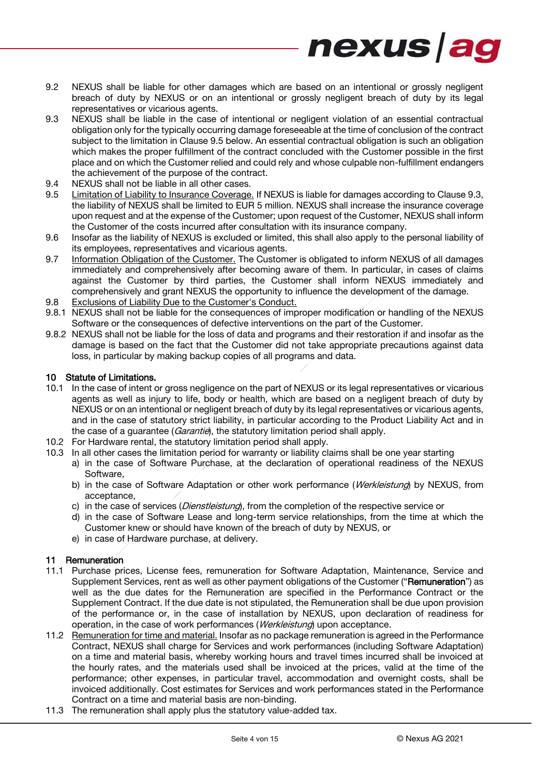9.2 NEXUS shall be liable for other damages which are based on an intentional or grossly negligent breach of duty by NEXUS or on an intentional or grossly negligent breach of duty by its legal representatives or vicarious agents.

nexus ag

- <span id="page-3-1"></span>9.3 NEXUS shall be liable in the case of intentional or negligent violation of an essential contractual obligation only for the typically occurring damage foreseeable at the time of conclusion of the contract subject to the limitation in Clause [9.5](#page-3-0) below. An essential contractual obligation is such an obligation which makes the proper fulfillment of the contract concluded with the Customer possible in the first place and on which the Customer relied and could rely and whose culpable non-fulfillment endangers the achievement of the purpose of the contract.
- 9.4 NEXUS shall not be liable in all other cases.
- <span id="page-3-0"></span>9.5 Limitation of Liability to Insurance Coverage. If NEXUS is liable for damages according to Clause [9.3,](#page-3-1) the liability of NEXUS shall be limited to EUR 5 million. NEXUS shall increase the insurance coverage upon request and at the expense of the Customer; upon request of the Customer, NEXUS shall inform the Customer of the costs incurred after consultation with its insurance company.
- 9.6 Insofar as the liability of NEXUS is excluded or limited, this shall also apply to the personal liability of its employees, representatives and vicarious agents.
- 9.7 Information Obligation of the Customer. The Customer is obligated to inform NEXUS of all damages immediately and comprehensively after becoming aware of them. In particular, in cases of claims against the Customer by third parties, the Customer shall inform NEXUS immediately and comprehensively and grant NEXUS the opportunity to influence the development of the damage.
- 9.8 Exclusions of Liability Due to the Customer's Conduct.
- 9.8.1 NEXUS shall not be liable for the consequences of improper modification or handling of the NEXUS Software or the consequences of defective interventions on the part of the Customer.
- 9.8.2 NEXUS shall not be liable for the loss of data and programs and their restoration if and insofar as the damage is based on the fact that the Customer did not take appropriate precautions against data loss, in particular by making backup copies of all programs and data.

#### <span id="page-3-2"></span>10 Statute of Limitations.

- 10.1 In the case of intent or gross negligence on the part of NEXUS or its legal representatives or vicarious agents as well as injury to life, body or health, which are based on a negligent breach of duty by NEXUS or on an intentional or negligent breach of duty by its legal representatives or vicarious agents, and in the case of statutory strict liability, in particular according to the Product Liability Act and in the case of a guarantee (*Garantie*), the statutory limitation period shall apply.
- 10.2 For Hardware rental, the statutory limitation period shall apply.
- 10.3 In all other cases the limitation period for warranty or liability claims shall be one year starting
	- a) in the case of Software Purchase, at the declaration of operational readiness of the NEXUS Software,
		- b) in the case of Software Adaptation or other work performance (Werkleistung) by NEXUS, from acceptance,
		- c) in the case of services (*Dienstleistung*), from the completion of the respective service or
		- d) in the case of Software Lease and long-term service relationships, from the time at which the Customer knew or should have known of the breach of duty by NEXUS, or
		- e) in case of Hardware purchase, at delivery.

#### 11 Remuneration

- 11.1 Purchase prices, License fees, remuneration for Software Adaptation, Maintenance, Service and Supplement Services, rent as well as other payment obligations of the Customer ("Remuneration") as well as the due dates for the Remuneration are specified in the Performance Contract or the Supplement Contract. If the due date is not stipulated, the Remuneration shall be due upon provision of the performance or, in the case of installation by NEXUS, upon declaration of readiness for operation, in the case of work performances (*Werkleistung*) upon acceptance.
- 11.2 Remuneration for time and material. Insofar as no package remuneration is agreed in the Performance Contract, NEXUS shall charge for Services and work performances (including Software Adaptation) on a time and material basis, whereby working hours and travel times incurred shall be invoiced at the hourly rates, and the materials used shall be invoiced at the prices, valid at the time of the performance; other expenses, in particular travel, accommodation and overnight costs, shall be invoiced additionally. Cost estimates for Services and work performances stated in the Performance Contract on a time and material basis are non-binding.
- 11.3 The remuneration shall apply plus the statutory value-added tax.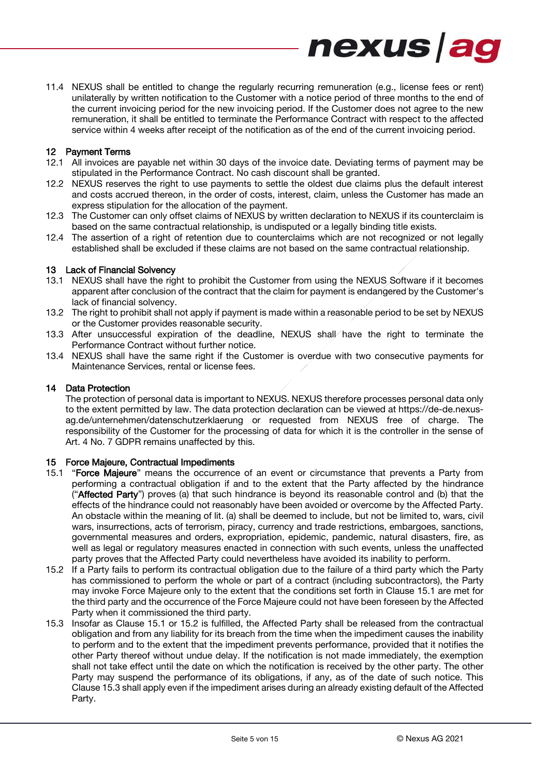11.4 NEXUS shall be entitled to change the regularly recurring remuneration (e.g., license fees or rent) unilaterally by written notification to the Customer with a notice period of three months to the end of the current invoicing period for the new invoicing period. If the Customer does not agree to the new remuneration, it shall be entitled to terminate the Performance Contract with respect to the affected service within 4 weeks after receipt of the notification as of the end of the current invoicing period.

nexus ag

#### 12 Payment Terms

- 12.1 All invoices are payable net within 30 days of the invoice date. Deviating terms of payment may be stipulated in the Performance Contract. No cash discount shall be granted.
- 12.2 NEXUS reserves the right to use payments to settle the oldest due claims plus the default interest and costs accrued thereon, in the order of costs, interest, claim, unless the Customer has made an express stipulation for the allocation of the payment.
- 12.3 The Customer can only offset claims of NEXUS by written declaration to NEXUS if its counterclaim is based on the same contractual relationship, is undisputed or a legally binding title exists.
- 12.4 The assertion of a right of retention due to counterclaims which are not recognized or not legally established shall be excluded if these claims are not based on the same contractual relationship.

#### 13 Lack of Financial Solvency

- 13.1 NEXUS shall have the right to prohibit the Customer from using the NEXUS Software if it becomes apparent after conclusion of the contract that the claim for payment is endangered by the Customer's lack of financial solvency.
- 13.2 The right to prohibit shall not apply if payment is made within a reasonable period to be set by NEXUS or the Customer provides reasonable security.
- 13.3 After unsuccessful expiration of the deadline, NEXUS shall have the right to terminate the Performance Contract without further notice.
- 13.4 NEXUS shall have the same right if the Customer is overdue with two consecutive payments for Maintenance Services, rental or license fees.

#### 14 Data Protection

The protection of personal data is important to NEXUS. NEXUS therefore processes personal data only to the extent permitted by law. The data protection declaration can be viewed at https://de-de.nexusag.de/unternehmen/datenschutzerklaerung or requested from NEXUS free of charge. The responsibility of the Customer for the processing of data for which it is the controller in the sense of Art. 4 No. 7 GDPR remains unaffected by this.

#### <span id="page-4-0"></span>15 Force Majeure, Contractual Impediments

- <span id="page-4-1"></span>15.1 "Force Majeure" means the occurrence of an event or circumstance that prevents a Party from performing a contractual obligation if and to the extent that the Party affected by the hindrance ("Affected Party") proves (a) that such hindrance is beyond its reasonable control and (b) that the effects of the hindrance could not reasonably have been avoided or overcome by the Affected Party. An obstacle within the meaning of lit. (a) shall be deemed to include, but not be limited to, wars, civil wars, insurrections, acts of terrorism, piracy, currency and trade restrictions, embargoes, sanctions, governmental measures and orders, expropriation, epidemic, pandemic, natural disasters, fire, as well as legal or regulatory measures enacted in connection with such events, unless the unaffected party proves that the Affected Party could nevertheless have avoided its inability to perform.
- <span id="page-4-2"></span>15.2 If a Party fails to perform its contractual obligation due to the failure of a third party which the Party has commissioned to perform the whole or part of a contract (including subcontractors), the Party may invoke Force Majeure only to the extent that the conditions set forth in Clause [15.1](#page-4-1) are met for the third party and the occurrence of the Force Majeure could not have been foreseen by the Affected Party when it commissioned the third party.
- <span id="page-4-3"></span>15.3 Insofar as Clause [15.1](#page-4-1) or [15.2](#page-4-2) is fulfilled, the Affected Party shall be released from the contractual obligation and from any liability for its breach from the time when the impediment causes the inability to perform and to the extent that the impediment prevents performance, provided that it notifies the other Party thereof without undue delay. If the notification is not made immediately, the exemption shall not take effect until the date on which the notification is received by the other party. The other Party may suspend the performance of its obligations, if any, as of the date of such notice. This Clause [15.3](#page-4-3) shall apply even if the impediment arises during an already existing default of the Affected Party.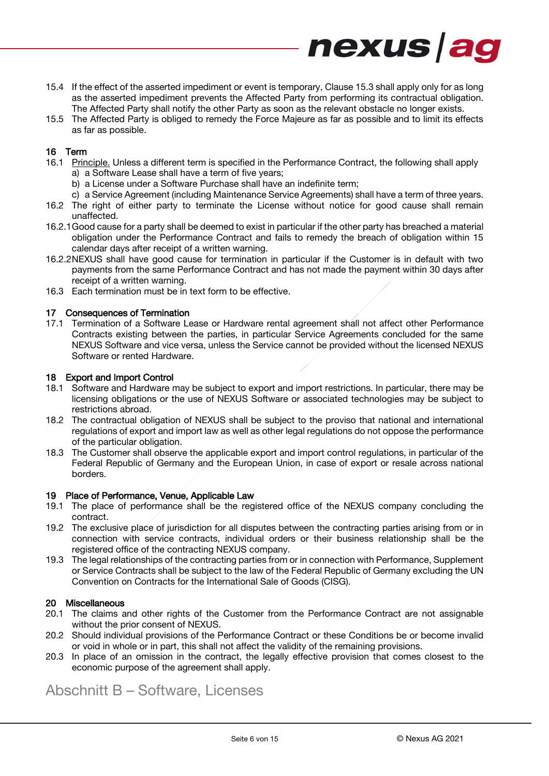15.4 If the effect of the asserted impediment or event is temporary, Claus[e 15.3](#page-4-3) shall apply only for as long as the asserted impediment prevents the Affected Party from performing its contractual obligation. The Affected Party shall notify the other Party as soon as the relevant obstacle no longer exists.

nexus ag

15.5 The Affected Party is obliged to remedy the Force Majeure as far as possible and to limit its effects as far as possible.

#### 16 Term

- 16.1 Principle. Unless a different term is specified in the Performance Contract, the following shall apply a) a Software Lease shall have a term of five years;
	- b) a License under a Software Purchase shall have an indefinite term;
	- c) a Service Agreement (including Maintenance Service Agreements) shall have a term of three years.
- 16.2 The right of either party to terminate the License without notice for good cause shall remain unaffected.
- 16.2.1Good cause for a party shall be deemed to exist in particular if the other party has breached a material obligation under the Performance Contract and fails to remedy the breach of obligation within 15 calendar days after receipt of a written warning.
- 16.2.2NEXUS shall have good cause for termination in particular if the Customer is in default with two payments from the same Performance Contract and has not made the payment within 30 days after receipt of a written warning.
- 16.3 Each termination must be in text form to be effective.

#### 17 Consequences of Termination

17.1 Termination of a Software Lease or Hardware rental agreement shall not affect other Performance Contracts existing between the parties, in particular Service Agreements concluded for the same NEXUS Software and vice versa, unless the Service cannot be provided without the licensed NEXUS Software or rented Hardware.

#### 18 Export and Import Control

- 18.1 Software and Hardware may be subject to export and import restrictions. In particular, there may be licensing obligations or the use of NEXUS Software or associated technologies may be subject to restrictions abroad.
- 18.2 The contractual obligation of NEXUS shall be subject to the proviso that national and international regulations of export and import law as well as other legal regulations do not oppose the performance of the particular obligation.
- 18.3 The Customer shall observe the applicable export and import control regulations, in particular of the Federal Republic of Germany and the European Union, in case of export or resale across national borders.

#### 19 Place of Performance, Venue, Applicable Law

- 19.1 The place of performance shall be the registered office of the NEXUS company concluding the contract.
- 19.2 The exclusive place of jurisdiction for all disputes between the contracting parties arising from or in connection with service contracts, individual orders or their business relationship shall be the registered office of the contracting NEXUS company.
- 19.3 The legal relationships of the contracting parties from or in connection with Performance, Supplement or Service Contracts shall be subject to the law of the Federal Republic of Germany excluding the UN Convention on Contracts for the International Sale of Goods (CISG).

#### 20 Miscellaneous

- 20.1 The claims and other rights of the Customer from the Performance Contract are not assignable without the prior consent of NEXUS.
- 20.2 Should individual provisions of the Performance Contract or these Conditions be or become invalid or void in whole or in part, this shall not affect the validity of the remaining provisions.
- 20.3 In place of an omission in the contract, the legally effective provision that comes closest to the economic purpose of the agreement shall apply.

## Abschnitt B – Software, Licenses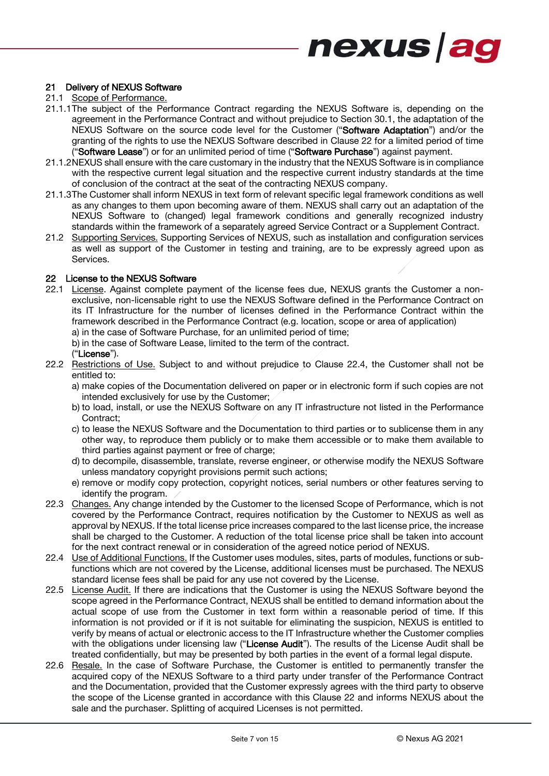#### 21 Delivery of NEXUS Software

- 21.1 Scope of Performance.
- <span id="page-6-0"></span>21.1.1The subject of the Performance Contract regarding the NEXUS Software is, depending on the agreement in the Performance Contract and without prejudice to Section [30.1,](#page-9-0) the adaptation of the NEXUS Software on the source code level for the Customer ("Software Adaptation") and/or the granting of the rights to use the NEXUS Software described in Clause [22](#page-6-1) for a limited period of time ("Software Lease") or for an unlimited period of time ("Software Purchase") against payment.
- 21.1.2NEXUS shall ensure with the care customary in the industry that the NEXUS Software is in compliance with the respective current legal situation and the respective current industry standards at the time of conclusion of the contract at the seat of the contracting NEXUS company.
- 21.1.3The Customer shall inform NEXUS in text form of relevant specific legal framework conditions as well as any changes to them upon becoming aware of them. NEXUS shall carry out an adaptation of the NEXUS Software to (changed) legal framework conditions and generally recognized industry standards within the framework of a separately agreed Service Contract or a Supplement Contract.
- 21.2 Supporting Services. Supporting Services of NEXUS, such as installation and configuration services as well as support of the Customer in testing and training, are to be expressly agreed upon as Services.

#### <span id="page-6-1"></span>22 License to the NEXUS Software

22.1 License. Against complete payment of the license fees due, NEXUS grants the Customer a nonexclusive, non-licensable right to use the NEXUS Software defined in the Performance Contract on its IT Infrastructure for the number of licenses defined in the Performance Contract within the framework described in the Performance Contract (e.g. location, scope or area of application) a) in the case of Software Purchase, for an unlimited period of time;

b) in the case of Software Lease, limited to the term of the contract.

#### ("License").

22.2 Restrictions of Use. Subject to and without prejudice to Clause [22.4,](#page-6-2) the Customer shall not be entitled to:

a) make copies of the Documentation delivered on paper or in electronic form if such copies are not intended exclusively for use by the Customer;

- b) to load, install, or use the NEXUS Software on any IT infrastructure not listed in the Performance Contract;
- c) to lease the NEXUS Software and the Documentation to third parties or to sublicense them in any other way, to reproduce them publicly or to make them accessible or to make them available to third parties against payment or free of charge:
- d) to decompile, disassemble, translate, reverse engineer, or otherwise modify the NEXUS Software unless mandatory copyright provisions permit such actions;
- e) remove or modify copy protection, copyright notices, serial numbers or other features serving to identify the program.
- <span id="page-6-3"></span>22.3 Changes. Any change intended by the Customer to the licensed Scope of Performance, which is not covered by the Performance Contract, requires notification by the Customer to NEXUS as well as approval by NEXUS. If the total license price increases compared to the last license price, the increase shall be charged to the Customer. A reduction of the total license price shall be taken into account for the next contract renewal or in consideration of the agreed notice period of NEXUS.
- <span id="page-6-2"></span>22.4 Use of Additional Functions. If the Customer uses modules, sites, parts of modules, functions or subfunctions which are not covered by the License, additional licenses must be purchased. The NEXUS standard license fees shall be paid for any use not covered by the License.
- 22.5 License Audit. If there are indications that the Customer is using the NEXUS Software beyond the scope agreed in the Performance Contract, NEXUS shall be entitled to demand information about the actual scope of use from the Customer in text form within a reasonable period of time. If this information is not provided or if it is not suitable for eliminating the suspicion, NEXUS is entitled to verify by means of actual or electronic access to the IT Infrastructure whether the Customer complies with the obligations under licensing law ("License Audit"). The results of the License Audit shall be treated confidentially, but may be presented by both parties in the event of a formal legal dispute.
- 22.6 Resale. In the case of Software Purchase, the Customer is entitled to permanently transfer the acquired copy of the NEXUS Software to a third party under transfer of the Performance Contract and the Documentation, provided that the Customer expressly agrees with the third party to observe the scope of the License granted in accordance with this Clause [22](#page-6-1) and informs NEXUS about the sale and the purchaser. Splitting of acquired Licenses is not permitted.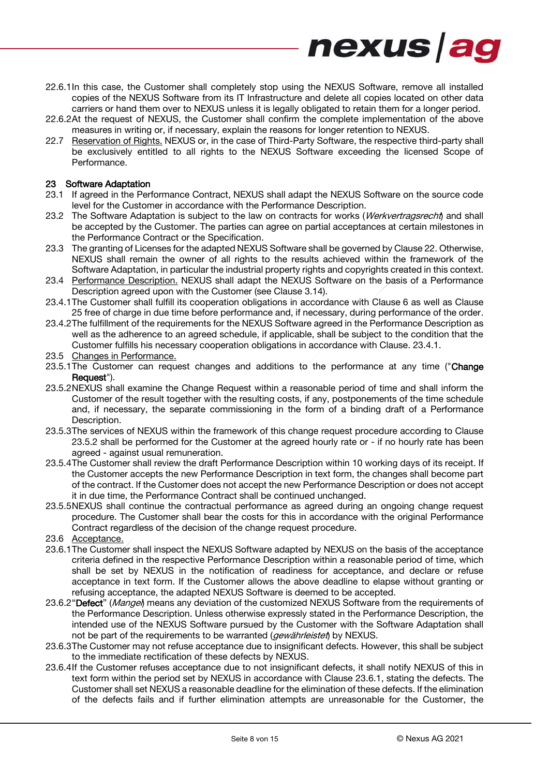22.6.1In this case, the Customer shall completely stop using the NEXUS Software, remove all installed copies of the NEXUS Software from its IT Infrastructure and delete all copies located on other data carriers or hand them over to NEXUS unless it is legally obligated to retain them for a longer period.

nexus ag

- 22.6.2At the request of NEXUS, the Customer shall confirm the complete implementation of the above measures in writing or, if necessary, explain the reasons for longer retention to NEXUS.
- 22.7 Reservation of Rights. NEXUS or, in the case of Third-Party Software, the respective third-party shall be exclusively entitled to all rights to the NEXUS Software exceeding the licensed Scope of Performance.

#### 23 Software Adaptation

- 23.1 If agreed in the Performance Contract, NEXUS shall adapt the NEXUS Software on the source code level for the Customer in accordance with the Performance Description.
- 23.2 The Software Adaptation is subject to the law on contracts for works (Werkvertragsrecht) and shall be accepted by the Customer. The parties can agree on partial acceptances at certain milestones in the Performance Contract or the Specification.
- 23.3 The granting of Licenses for the adapted NEXUS Software shall be governed by Claus[e 22.](#page-6-1) Otherwise, NEXUS shall remain the owner of all rights to the results achieved within the framework of the Software Adaptation, in particular the industrial property rights and copyrights created in this context.
- 23.4 Performance Description. NEXUS shall adapt the NEXUS Software on the basis of a Performance Description agreed upon with the Customer (see Clause [3.14\)](#page-1-2).
- <span id="page-7-1"></span>23.4.1The Customer shall fulfill its cooperation obligations in accordance with Clause [6](#page-2-2) as well as Clause [25](#page-8-1) free of charge in due time before performance and, if necessary, during performance of the order.
- 23.4.2The fulfillment of the requirements for the NEXUS Software agreed in the Performance Description as well as the adherence to an agreed schedule, if applicable, shall be subject to the condition that the Customer fulfills his necessary cooperation obligations in accordance with Clause. [23.4.1.](#page-7-1)
- 23.5 Changes in Performance.
- <span id="page-7-0"></span>23.5.1The Customer can request changes and additions to the performance at any time ("Change" Request").
- <span id="page-7-2"></span>23.5.2NEXUS shall examine the Change Request within a reasonable period of time and shall inform the Customer of the result together with the resulting costs, if any, postponements of the time schedule and, if necessary, the separate commissioning in the form of a binding draft of a Performance Description.
- 23.5.3The services of NEXUS within the framework of this change request procedure according to Clause [23.5.2](#page-7-2) shall be performed for the Customer at the agreed hourly rate or - if no hourly rate has been agreed - against usual remuneration.
- 23.5.4The Customer shall review the draft Performance Description within 10 working days of its receipt. If the Customer accepts the new Performance Description in text form, the changes shall become part of the contract. If the Customer does not accept the new Performance Description or does not accept it in due time, the Performance Contract shall be continued unchanged.
- 23.5.5NEXUS shall continue the contractual performance as agreed during an ongoing change request procedure. The Customer shall bear the costs for this in accordance with the original Performance Contract regardless of the decision of the change request procedure.
- 23.6 Acceptance.
- <span id="page-7-3"></span>23.6.1The Customer shall inspect the NEXUS Software adapted by NEXUS on the basis of the acceptance criteria defined in the respective Performance Description within a reasonable period of time, which shall be set by NEXUS in the notification of readiness for acceptance, and declare or refuse acceptance in text form. If the Customer allows the above deadline to elapse without granting or refusing acceptance, the adapted NEXUS Software is deemed to be accepted.
- 23.6.2"Defect" (*Mangel*) means any deviation of the customized NEXUS Software from the requirements of the Performance Description. Unless otherwise expressly stated in the Performance Description, the intended use of the NEXUS Software pursued by the Customer with the Software Adaptation shall not be part of the requirements to be warranted (*gewährleistet*) by NEXUS.
- 23.6.3The Customer may not refuse acceptance due to insignificant defects. However, this shall be subject to the immediate rectification of these defects by NEXUS.
- 23.6.4If the Customer refuses acceptance due to not insignificant defects, it shall notify NEXUS of this in text form within the period set by NEXUS in accordance with Clause [23.6.1,](#page-7-3) stating the defects. The Customer shall set NEXUS a reasonable deadline for the elimination of these defects. If the elimination of the defects fails and if further elimination attempts are unreasonable for the Customer, the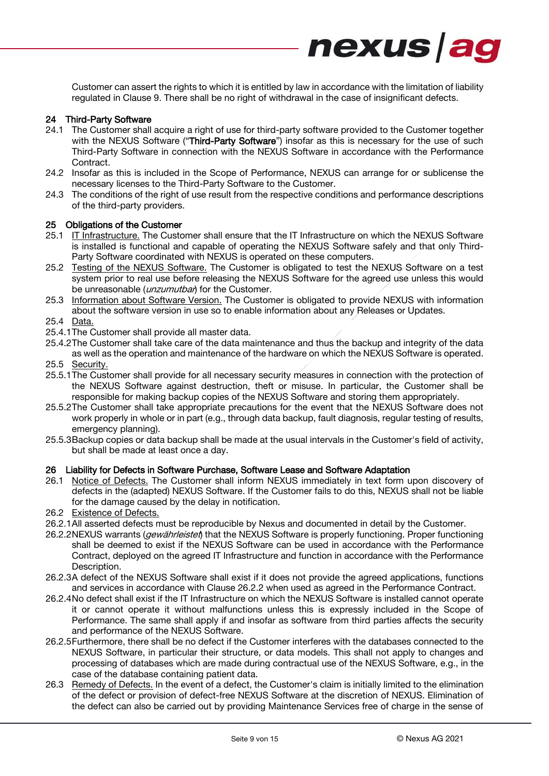Customer can assert the rights to which it is entitled by law in accordance with the limitation of liability regulated in Clause [9.](#page-2-0) There shall be no right of withdrawal in the case of insignificant defects.

nexus ag

#### 24 Third-Party Software

- <span id="page-8-0"></span>24.1 The Customer shall acquire a right of use for third-party software provided to the Customer together with the NEXUS Software ("Third-Party Software") insofar as this is necessary for the use of such Third-Party Software in connection with the NEXUS Software in accordance with the Performance Contract.
- 24.2 Insofar as this is included in the Scope of Performance, NEXUS can arrange for or sublicense the necessary licenses to the Third-Party Software to the Customer.
- 24.3 The conditions of the right of use result from the respective conditions and performance descriptions of the third-party providers.

#### <span id="page-8-1"></span>25 Obligations of the Customer

- 25.1 IT Infrastructure. The Customer shall ensure that the IT Infrastructure on which the NEXUS Software is installed is functional and capable of operating the NEXUS Software safely and that only Third-Party Software coordinated with NEXUS is operated on these computers.
- 25.2 Testing of the NEXUS Software. The Customer is obligated to test the NEXUS Software on a test system prior to real use before releasing the NEXUS Software for the agreed use unless this would be unreasonable (*unzumutbar*) for the Customer.
- 25.3 Information about Software Version. The Customer is obligated to provide NEXUS with information about the software version in use so to enable information about any Releases or Updates.
- 25.4 Data.
- 25.4.1The Customer shall provide all master data.
- 25.4.2The Customer shall take care of the data maintenance and thus the backup and integrity of the data as well as the operation and maintenance of the hardware on which the NEXUS Software is operated.
- 25.5 Security.
- 25.5.1The Customer shall provide for all necessary security measures in connection with the protection of the NEXUS Software against destruction, theft or misuse. In particular, the Customer shall be responsible for making backup copies of the NEXUS Software and storing them appropriately.
- 25.5.2The Customer shall take appropriate precautions for the event that the NEXUS Software does not work properly in whole or in part (e.g., through data backup, fault diagnosis, regular testing of results, emergency planning).
- 25.5.3Backup copies or data backup shall be made at the usual intervals in the Customer's field of activity, but shall be made at least once a day.

#### <span id="page-8-4"></span>26 Liability for Defects in Software Purchase, Software Lease and Software Adaptation

- 26.1 Notice of Defects. The Customer shall inform NEXUS immediately in text form upon discovery of defects in the (adapted) NEXUS Software. If the Customer fails to do this, NEXUS shall not be liable for the damage caused by the delay in notification.
- 26.2 Existence of Defects.
- 26.2.1All asserted defects must be reproducible by Nexus and documented in detail by the Customer.
- <span id="page-8-2"></span>26.2.2NEXUS warrants (*gewährleistet*) that the NEXUS Software is properly functioning. Proper functioning shall be deemed to exist if the NEXUS Software can be used in accordance with the Performance Contract, deployed on the agreed IT Infrastructure and function in accordance with the Performance Description.
- 26.2.3A defect of the NEXUS Software shall exist if it does not provide the agreed applications, functions and services in accordance with Clause [26.2.2](#page-8-2) when used as agreed in the Performance Contract.
- 26.2.4No defect shall exist if the IT Infrastructure on which the NEXUS Software is installed cannot operate it or cannot operate it without malfunctions unless this is expressly included in the Scope of Performance. The same shall apply if and insofar as software from third parties affects the security and performance of the NEXUS Software.
- 26.2.5Furthermore, there shall be no defect if the Customer interferes with the databases connected to the NEXUS Software, in particular their structure, or data models. This shall not apply to changes and processing of databases which are made during contractual use of the NEXUS Software, e.g., in the case of the database containing patient data.
- <span id="page-8-3"></span>26.3 Remedy of Defects. In the event of a defect, the Customer's claim is initially limited to the elimination of the defect or provision of defect-free NEXUS Software at the discretion of NEXUS. Elimination of the defect can also be carried out by providing Maintenance Services free of charge in the sense of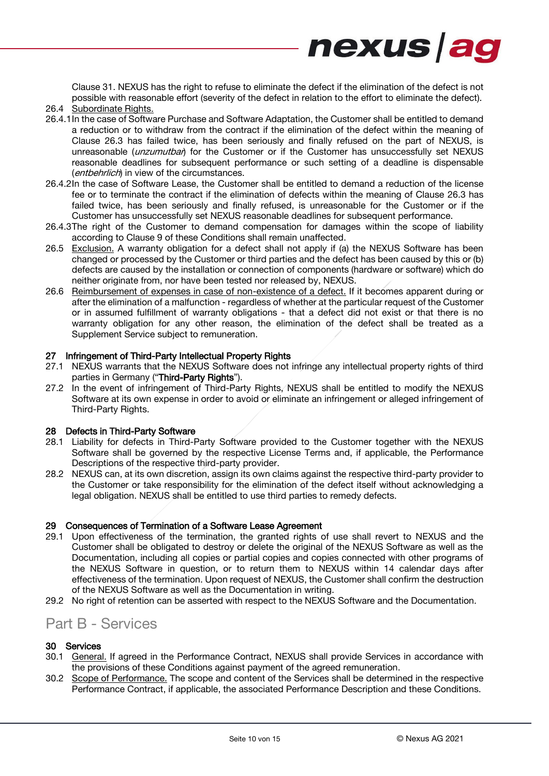Clause [31.](#page-10-1) NEXUS has the right to refuse to eliminate the defect if the elimination of the defect is not possible with reasonable effort (severity of the defect in relation to the effort to eliminate the defect).

nexus ag

- 26.4 Subordinate Rights.
- 26.4.1In the case of Software Purchase and Software Adaptation, the Customer shall be entitled to demand a reduction or to withdraw from the contract if the elimination of the defect within the meaning of Clause [26.3](#page-8-3) has failed twice, has been seriously and finally refused on the part of NEXUS, is unreasonable (*unzumutbar*) for the Customer or if the Customer has unsuccessfully set NEXUS reasonable deadlines for subsequent performance or such setting of a deadline is dispensable (*entbehrlich*) in view of the circumstances.
- 26.4.2In the case of Software Lease, the Customer shall be entitled to demand a reduction of the license fee or to terminate the contract if the elimination of defects within the meaning of Clause [26.3](#page-8-3) has failed twice, has been seriously and finally refused, is unreasonable for the Customer or if the Customer has unsuccessfully set NEXUS reasonable deadlines for subsequent performance.
- 26.4.3The right of the Customer to demand compensation for damages within the scope of liability according to Clause [9](#page-2-0) of these Conditions shall remain unaffected.
- 26.5 Exclusion. A warranty obligation for a defect shall not apply if (a) the NEXUS Software has been changed or processed by the Customer or third parties and the defect has been caused by this or (b) defects are caused by the installation or connection of components (hardware or software) which do neither originate from, nor have been tested nor released by, NEXUS.
- 26.6 Reimbursement of expenses in case of non-existence of a defect. If it becomes apparent during or after the elimination of a malfunction - regardless of whether at the particular request of the Customer or in assumed fulfillment of warranty obligations - that a defect did not exist or that there is no warranty obligation for any other reason, the elimination of the defect shall be treated as a Supplement Service subject to remuneration.

#### 27 Infringement of Third-Party Intellectual Property Rights

- 27.1 NEXUS warrants that the NEXUS Software does not infringe any intellectual property rights of third parties in Germany ("Third-Party Rights").
- 27.2 In the event of infringement of Third-Party Rights, NEXUS shall be entitled to modify the NEXUS Software at its own expense in order to avoid or eliminate an infringement or alleged infringement of Third-Party Rights.

#### 28 Defects in Third-Party Software

- 28.1 Liability for defects in Third-Party Software provided to the Customer together with the NEXUS Software shall be governed by the respective License Terms and, if applicable, the Performance Descriptions of the respective third-party provider.
- 28.2 NEXUS can, at its own discretion, assign its own claims against the respective third-party provider to the Customer or take responsibility for the elimination of the defect itself without acknowledging a legal obligation. NEXUS shall be entitled to use third parties to remedy defects.

#### 29 Consequences of Termination of a Software Lease Agreement

- 29.1 Upon effectiveness of the termination, the granted rights of use shall revert to NEXUS and the Customer shall be obligated to destroy or delete the original of the NEXUS Software as well as the Documentation, including all copies or partial copies and copies connected with other programs of the NEXUS Software in question, or to return them to NEXUS within 14 calendar days after effectiveness of the termination. Upon request of NEXUS, the Customer shall confirm the destruction of the NEXUS Software as well as the Documentation in writing.
- 29.2 No right of retention can be asserted with respect to the NEXUS Software and the Documentation.

### Part B - Services

#### 30 Services

- <span id="page-9-0"></span>30.1 General. If agreed in the Performance Contract, NEXUS shall provide Services in accordance with the provisions of these Conditions against payment of the agreed remuneration.
- 30.2 Scope of Performance. The scope and content of the Services shall be determined in the respective Performance Contract, if applicable, the associated Performance Description and these Conditions.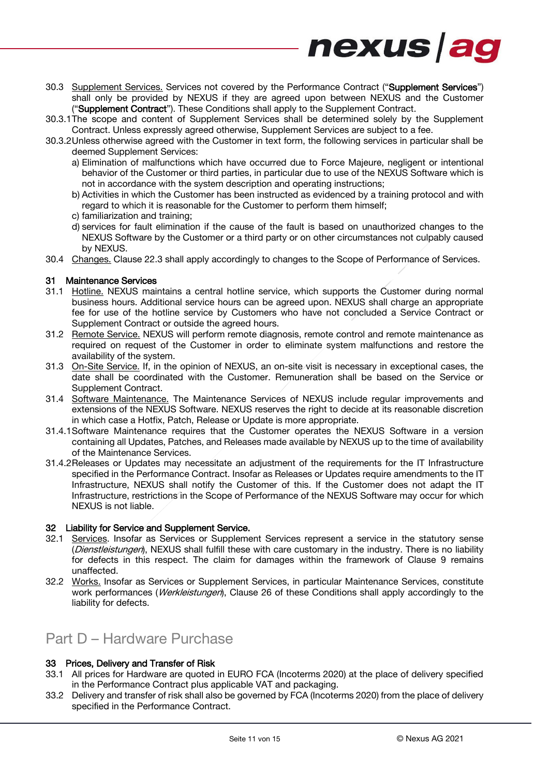

- <span id="page-10-0"></span>30.3 Supplement Services. Services not covered by the Performance Contract ("Supplement Services") shall only be provided by NEXUS if they are agreed upon between NEXUS and the Customer ("Supplement Contract"). These Conditions shall apply to the Supplement Contract.
- 30.3.1The scope and content of Supplement Services shall be determined solely by the Supplement Contract. Unless expressly agreed otherwise, Supplement Services are subject to a fee.
- 30.3.2Unless otherwise agreed with the Customer in text form, the following services in particular shall be deemed Supplement Services:
	- a) Elimination of malfunctions which have occurred due to Force Majeure, negligent or intentional behavior of the Customer or third parties, in particular due to use of the NEXUS Software which is not in accordance with the system description and operating instructions;
	- b) Activities in which the Customer has been instructed as evidenced by a training protocol and with regard to which it is reasonable for the Customer to perform them himself;
	- c) familiarization and training;
	- d) services for fault elimination if the cause of the fault is based on unauthorized changes to the NEXUS Software by the Customer or a third party or on other circumstances not culpably caused by NEXUS.
- 30.4 Changes. Clause [22.3](#page-6-3) shall apply accordingly to changes to the Scope of Performance of Services.

#### <span id="page-10-1"></span>31 Maintenance Services

- 31.1 Hotline. NEXUS maintains a central hotline service, which supports the Customer during normal business hours. Additional service hours can be agreed upon. NEXUS shall charge an appropriate fee for use of the hotline service by Customers who have not concluded a Service Contract or Supplement Contract or outside the agreed hours.
- 31.2 Remote Service. NEXUS will perform remote diagnosis, remote control and remote maintenance as required on request of the Customer in order to eliminate system malfunctions and restore the availability of the system.
- 31.3 On-Site Service. If, in the opinion of NEXUS, an on-site visit is necessary in exceptional cases, the date shall be coordinated with the Customer. Remuneration shall be based on the Service or Supplement Contract.
- 31.4 Software Maintenance. The Maintenance Services of NEXUS include regular improvements and extensions of the NEXUS Software. NEXUS reserves the right to decide at its reasonable discretion in which case a Hotfix, Patch, Release or Update is more appropriate.
- 31.4.1Software Maintenance requires that the Customer operates the NEXUS Software in a version containing all Updates, Patches, and Releases made available by NEXUS up to the time of availability of the Maintenance Services.
- 31.4.2Releases or Updates may necessitate an adjustment of the requirements for the IT Infrastructure specified in the Performance Contract. Insofar as Releases or Updates require amendments to the IT Infrastructure, NEXUS shall notify the Customer of this. If the Customer does not adapt the IT Infrastructure, restrictions in the Scope of Performance of the NEXUS Software may occur for which NEXUS is not liable.

#### 32 Liability for Service and Supplement Service.

- 32.1 Services. Insofar as Services or Supplement Services represent a service in the statutory sense (Dienstleistungen), NEXUS shall fulfill these with care customary in the industry. There is no liability for defects in this respect. The claim for damages within the framework of Clause [9](#page-2-0) remains unaffected.
- 32.2 Works. Insofar as Services or Supplement Services, in particular Maintenance Services, constitute work performances (*Werkleistungen*), Clause [26](#page-8-4) of these Conditions shall apply accordingly to the liability for defects.

## Part D – Hardware Purchase

#### 33 Prices, Delivery and Transfer of Risk

- 33.1 All prices for Hardware are quoted in EURO FCA (Incoterms 2020) at the place of delivery specified in the Performance Contract plus applicable VAT and packaging.
- 33.2 Delivery and transfer of risk shall also be governed by FCA (Incoterms 2020) from the place of delivery specified in the Performance Contract.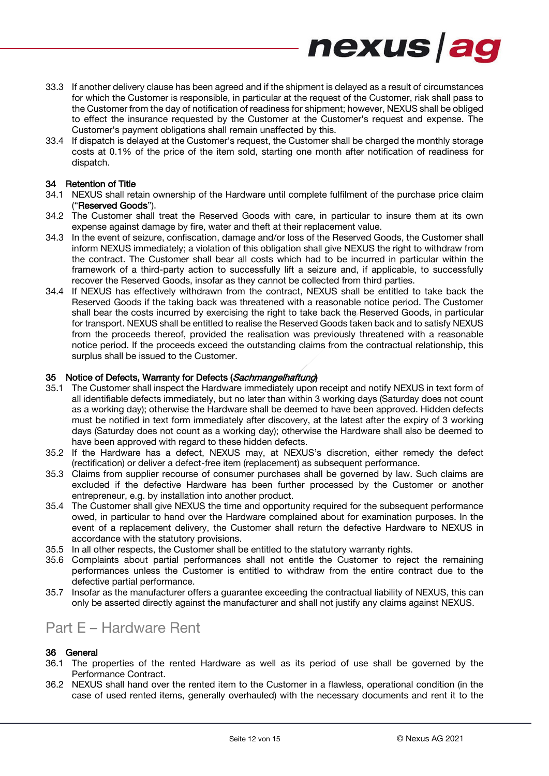33.3 If another delivery clause has been agreed and if the shipment is delayed as a result of circumstances for which the Customer is responsible, in particular at the request of the Customer, risk shall pass to the Customer from the day of notification of readiness for shipment; however, NEXUS shall be obliged to effect the insurance requested by the Customer at the Customer's request and expense. The Customer's payment obligations shall remain unaffected by this.

nexus ag

33.4 If dispatch is delayed at the Customer's request, the Customer shall be charged the monthly storage costs at 0.1% of the price of the item sold, starting one month after notification of readiness for dispatch.

#### 34 Retention of Title

- 34.1 NEXUS shall retain ownership of the Hardware until complete fulfilment of the purchase price claim ("Reserved Goods").
- 34.2 The Customer shall treat the Reserved Goods with care, in particular to insure them at its own expense against damage by fire, water and theft at their replacement value.
- 34.3 In the event of seizure, confiscation, damage and/or loss of the Reserved Goods, the Customer shall inform NEXUS immediately; a violation of this obligation shall give NEXUS the right to withdraw from the contract. The Customer shall bear all costs which had to be incurred in particular within the framework of a third-party action to successfully lift a seizure and, if applicable, to successfully recover the Reserved Goods, insofar as they cannot be collected from third parties.
- 34.4 If NEXUS has effectively withdrawn from the contract, NEXUS shall be entitled to take back the Reserved Goods if the taking back was threatened with a reasonable notice period. The Customer shall bear the costs incurred by exercising the right to take back the Reserved Goods, in particular for transport. NEXUS shall be entitled to realise the Reserved Goods taken back and to satisfy NEXUS from the proceeds thereof, provided the realisation was previously threatened with a reasonable notice period. If the proceeds exceed the outstanding claims from the contractual relationship, this surplus shall be issued to the Customer.

#### <span id="page-11-0"></span>35 Notice of Defects, Warranty for Defects (Sachmangelhaftung)

- 35.1 The Customer shall inspect the Hardware immediately upon receipt and notify NEXUS in text form of all identifiable defects immediately, but no later than within 3 working days (Saturday does not count as a working day); otherwise the Hardware shall be deemed to have been approved. Hidden defects must be notified in text form immediately after discovery, at the latest after the expiry of 3 working days (Saturday does not count as a working day); otherwise the Hardware shall also be deemed to have been approved with regard to these hidden defects.
- 35.2 If the Hardware has a defect, NEXUS may, at NEXUS's discretion, either remedy the defect (rectification) or deliver a defect-free item (replacement) as subsequent performance.
- 35.3 Claims from supplier recourse of consumer purchases shall be governed by law. Such claims are excluded if the defective Hardware has been further processed by the Customer or another entrepreneur, e.g. by installation into another product.
- 35.4 The Customer shall give NEXUS the time and opportunity required for the subsequent performance owed, in particular to hand over the Hardware complained about for examination purposes. In the event of a replacement delivery, the Customer shall return the defective Hardware to NEXUS in accordance with the statutory provisions.
- 35.5 In all other respects, the Customer shall be entitled to the statutory warranty rights.
- 35.6 Complaints about partial performances shall not entitle the Customer to reject the remaining performances unless the Customer is entitled to withdraw from the entire contract due to the defective partial performance.
- 35.7 Insofar as the manufacturer offers a guarantee exceeding the contractual liability of NEXUS, this can only be asserted directly against the manufacturer and shall not justify any claims against NEXUS.

### Part E – Hardware Rent

#### 36 General

- 36.1 The properties of the rented Hardware as well as its period of use shall be governed by the Performance Contract.
- 36.2 NEXUS shall hand over the rented item to the Customer in a flawless, operational condition (in the case of used rented items, generally overhauled) with the necessary documents and rent it to the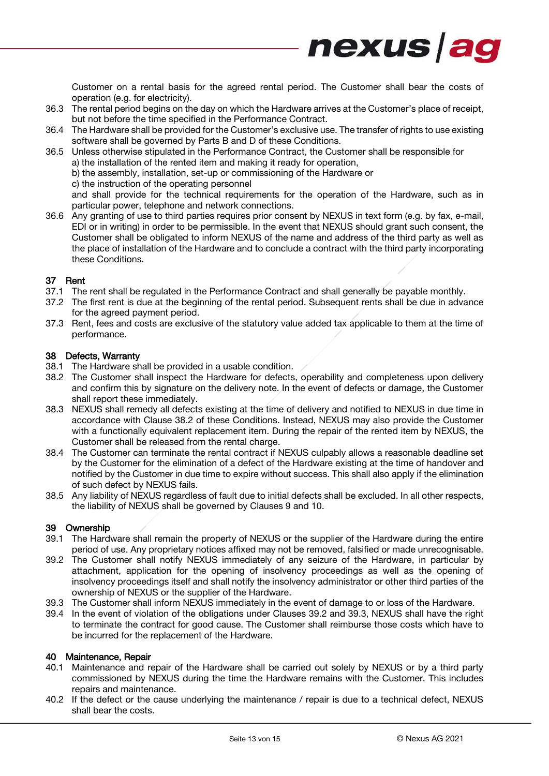

- 36.3 The rental period begins on the day on which the Hardware arrives at the Customer's place of receipt, but not before the time specified in the Performance Contract.
- 36.4 The Hardware shall be provided for the Customer's exclusive use. The transfer of rights to use existing software shall be governed by Parts B and D of these Conditions.

36.5 Unless otherwise stipulated in the Performance Contract, the Customer shall be responsible for

a) the installation of the rented item and making it ready for operation,

b) the assembly, installation, set-up or commissioning of the Hardware or

c) the instruction of the operating personnel

and shall provide for the technical requirements for the operation of the Hardware, such as in particular power, telephone and network connections.

36.6 Any granting of use to third parties requires prior consent by NEXUS in text form (e.g. by fax, e-mail, EDI or in writing) in order to be permissible. In the event that NEXUS should grant such consent, the Customer shall be obligated to inform NEXUS of the name and address of the third party as well as the place of installation of the Hardware and to conclude a contract with the third party incorporating these Conditions.

#### 37 Rent

- 37.1 The rent shall be regulated in the Performance Contract and shall generally be payable monthly.
- 37.2 The first rent is due at the beginning of the rental period. Subsequent rents shall be due in advance for the agreed payment period.
- 37.3 Rent, fees and costs are exclusive of the statutory value added tax applicable to them at the time of performance.

#### 38 Defects, Warranty

- 38.1 The Hardware shall be provided in a usable condition.
- <span id="page-12-0"></span>38.2 The Customer shall inspect the Hardware for defects, operability and completeness upon delivery and confirm this by signature on the delivery note. In the event of defects or damage, the Customer shall report these immediately.
- 38.3 NEXUS shall remedy all defects existing at the time of delivery and notified to NEXUS in due time in accordance with Clause [38.2](#page-12-0) of these Conditions. Instead, NEXUS may also provide the Customer with a functionally equivalent replacement item. During the repair of the rented item by NEXUS, the Customer shall be released from the rental charge.
- 38.4 The Customer can terminate the rental contract if NEXUS culpably allows a reasonable deadline set by the Customer for the elimination of a defect of the Hardware existing at the time of handover and notified by the Customer in due time to expire without success. This shall also apply if the elimination of such defect by NEXUS fails.
- 38.5 Any liability of NEXUS regardless of fault due to initial defects shall be excluded. In all other respects, the liability of NEXUS shall be governed by Clauses [9](#page-2-0) and [10.](#page-3-2)

#### 39 Ownership

- 39.1 The Hardware shall remain the property of NEXUS or the supplier of the Hardware during the entire period of use. Any proprietary notices affixed may not be removed, falsified or made unrecognisable.
- <span id="page-12-1"></span>39.2 The Customer shall notify NEXUS immediately of any seizure of the Hardware, in particular by attachment, application for the opening of insolvency proceedings as well as the opening of insolvency proceedings itself and shall notify the insolvency administrator or other third parties of the ownership of NEXUS or the supplier of the Hardware.
- <span id="page-12-2"></span>39.3 The Customer shall inform NEXUS immediately in the event of damage to or loss of the Hardware.
- 39.4 In the event of violation of the obligations under Clauses [39.2](#page-12-1) and [39.3,](#page-12-2) NEXUS shall have the right to terminate the contract for good cause. The Customer shall reimburse those costs which have to be incurred for the replacement of the Hardware.

#### <span id="page-12-3"></span>40 Maintenance, Repair

- 40.1 Maintenance and repair of the Hardware shall be carried out solely by NEXUS or by a third party commissioned by NEXUS during the time the Hardware remains with the Customer. This includes repairs and maintenance.
- 40.2 If the defect or the cause underlying the maintenance / repair is due to a technical defect, NEXUS shall bear the costs.